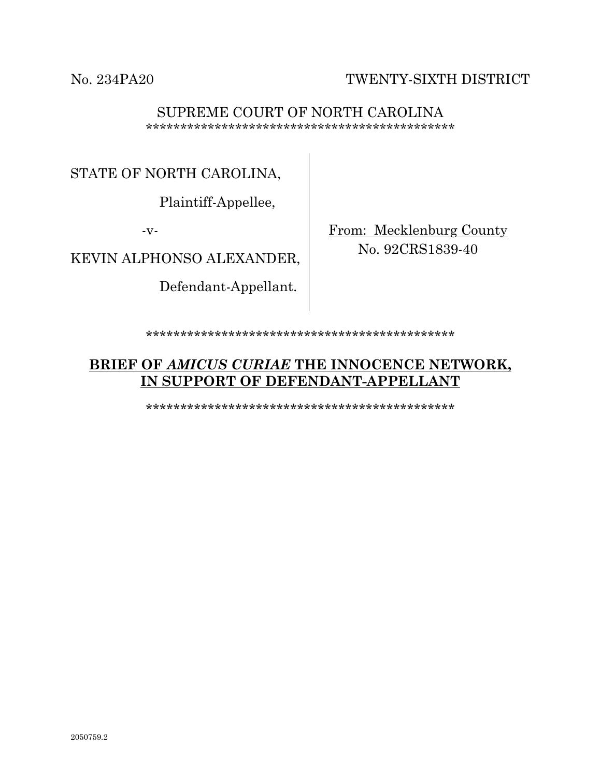No. 234PA20 TWENTY-SIXTH DISTRICT

#### SUPREME COURT OF NORTH CAROLINA \*\*\*\*\*\*\*\*\*\*\*\*\*\*\*\*\*\*\*\*\*\*\*\*\*\*\*\*\*\*\*\*\*\*\*\*\*\*\*\*\*\*\*\*\*

STATE OF NORTH CAROLINA,

Plaintiff-Appellee,

-v-

KEVIN ALPHONSO ALEXANDER,

Defendant-Appellant.

From: Mecklenburg County No. 92CRS1839-40

\*\*\*\*\*\*\*\*\*\*\*\*\*\*\*\*\*\*\*\*\*\*\*\*\*\*\*\*\*\*\*\*\*\*\*\*\*\*\*\*\*\*\*\*\*

# **BRIEF OF** *AMICUS CURIAE* **THE INNOCENCE NETWORK, IN SUPPORT OF DEFENDANT-APPELLANT**

\*\*\*\*\*\*\*\*\*\*\*\*\*\*\*\*\*\*\*\*\*\*\*\*\*\*\*\*\*\*\*\*\*\*\*\*\*\*\*\*\*\*\*\*\*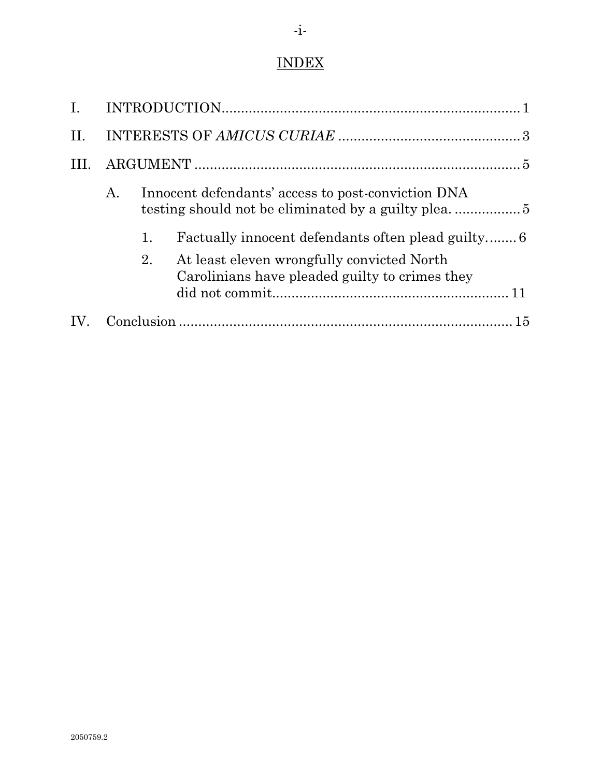# INDEX

| II. |    |                                                    |                                                                                              |    |  |
|-----|----|----------------------------------------------------|----------------------------------------------------------------------------------------------|----|--|
|     |    |                                                    |                                                                                              |    |  |
|     | Α. | Innocent defendants' access to post-conviction DNA |                                                                                              |    |  |
|     |    | 1.                                                 |                                                                                              |    |  |
|     |    | 2.                                                 | At least eleven wrongfully convicted North<br>Carolinians have pleaded guilty to crimes they |    |  |
|     |    |                                                    |                                                                                              | 15 |  |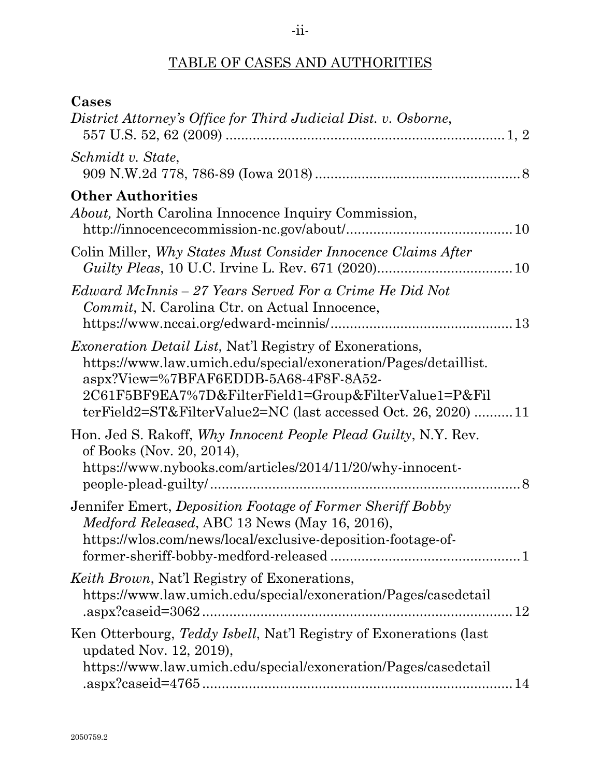# TABLE OF CASES AND AUTHORITIES

| Cases                                                                                                                                                                                                                                                                                                  |
|--------------------------------------------------------------------------------------------------------------------------------------------------------------------------------------------------------------------------------------------------------------------------------------------------------|
| District Attorney's Office for Third Judicial Dist. v. Osborne,                                                                                                                                                                                                                                        |
| Schmidt v. State,                                                                                                                                                                                                                                                                                      |
| <b>Other Authorities</b><br><i>About</i> , North Carolina Innocence Inquiry Commission,                                                                                                                                                                                                                |
| Colin Miller, Why States Must Consider Innocence Claims After                                                                                                                                                                                                                                          |
| Edward McInnis – 27 Years Served For a Crime He Did Not<br>Commit, N. Carolina Ctr. on Actual Innocence,                                                                                                                                                                                               |
| <i>Exoneration Detail List</i> , Nat'l Registry of Exonerations,<br>https://www.law.umich.edu/special/exoneration/Pages/detaillist.<br>aspx?View=%7BFAF6EDDB-5A68-4F8F-8A52-<br>2C61F5BF9EA7%7D&FilterField1=Group&FilterValue1=P&Fil<br>terField2=ST&FilterValue2=NC (last accessed Oct. 26, 2020) 11 |
| Hon. Jed S. Rakoff, Why Innocent People Plead Guilty, N.Y. Rev.<br>of Books (Nov. 20, 2014),<br>https://www.nybooks.com/articles/2014/11/20/why-innocent-                                                                                                                                              |
| Jennifer Emert, Deposition Footage of Former Sheriff Bobby<br><i>Medford Released, ABC 13 News (May 16, 2016),</i><br>https://wlos.com/news/local/exclusive-deposition-footage-of-                                                                                                                     |
| <i>Keith Brown</i> , Nat'l Registry of Exonerations,<br>https://www.law.umich.edu/special/exoneration/Pages/casedetail<br>.aspx?caseid=3062<br>12                                                                                                                                                      |
| Ken Otterbourg, Teddy Isbell, Nat'l Registry of Exonerations (last<br>updated Nov. 12, 2019),<br>https://www.law.umich.edu/special/exoneration/Pages/casedetail                                                                                                                                        |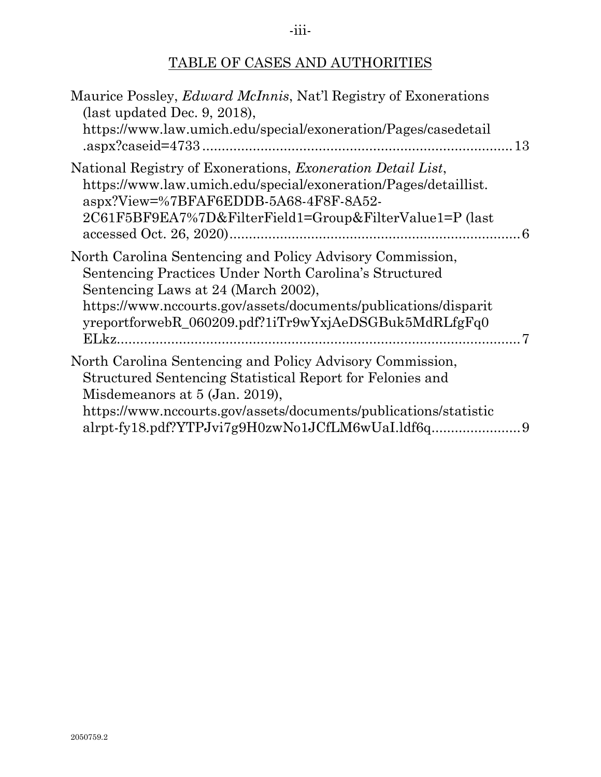# TABLE OF CASES AND AUTHORITIES

| Maurice Possley, <i>Edward McInnis</i> , Nat'l Registry of Exonerations<br>(last updated Dec. 9, 2018),<br>https://www.law.umich.edu/special/exoneration/Pages/casedetail                                                                                                              |           |
|----------------------------------------------------------------------------------------------------------------------------------------------------------------------------------------------------------------------------------------------------------------------------------------|-----------|
| National Registry of Exonerations, <i>Exoneration Detail List</i> ,<br>https://www.law.umich.edu/special/exoneration/Pages/detaillist.<br>aspx?View=%7BFAF6EDDB-5A68-4F8F-8A52-<br>2C61F5BF9EA7%7D&FilterField1=Group&FilterValue1=P (last                                             | $\dots 6$ |
| North Carolina Sentencing and Policy Advisory Commission,<br>Sentencing Practices Under North Carolina's Structured<br>Sentencing Laws at 24 (March 2002),<br>https://www.nccourts.gov/assets/documents/publications/disparit<br>yreportforwebR_060209.pdf?1iTr9wYxjAeDSGBuk5MdRLfgFq0 |           |
| North Carolina Sentencing and Policy Advisory Commission,<br>Structured Sentencing Statistical Report for Felonies and<br>Misdemeanors at 5 (Jan. 2019),<br>https://www.nccourts.gov/assets/documents/publications/statistic<br>alrpt-fy18.pdf?YTPJvi7g9H0zwNo1JCfLM6wUaI.ldf6q        |           |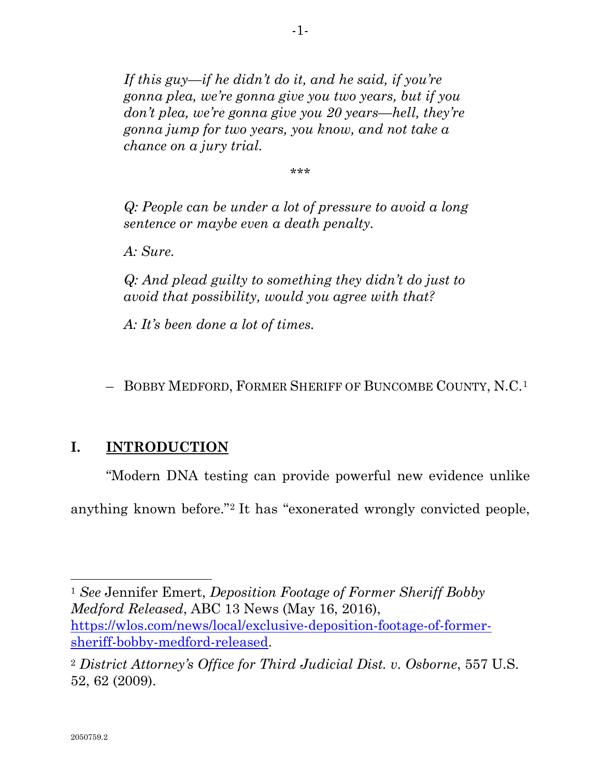*If this guy—if he didn't do it, and he said, if you're gonna plea, we're gonna give you two years, but if you don't plea, we're gonna give you 20 years—hell, they're gonna jump for two years, you know, and not take a chance on a jury trial.*

\*\*\*

*Q: People can be under a lot of pressure to avoid a long sentence or maybe even a death penalty.*

*A: Sure.*

*Q: And plead guilty to something they didn't do just to avoid that possibility, would you agree with that?*

*A: It's been done a lot of times.*

– BOBBY MEDFORD, FORMER SHERIFF OF BUNCOMBE COUNTY, N.C.[1](#page-4-1)

## <span id="page-4-0"></span>**I. INTRODUCTION**

"Modern DNA testing can provide powerful new evidence unlike

anything known before."[2](#page-4-2) It has "exonerated wrongly convicted people,

<span id="page-4-1"></span><sup>1</sup> *See* Jennifer Emert, *Deposition Footage of Former Sheriff Bobby Medford Released*, ABC 13 News (May 16, 2016), [https://wlos.com/news/local/exclusive-deposition-footage-of-former](https://wlos.com/news/local/exclusive-deposition-footage-of-former-sheriff-bobby-medford-released)[sheriff-bobby-medford-released.](https://wlos.com/news/local/exclusive-deposition-footage-of-former-sheriff-bobby-medford-released)

<span id="page-4-2"></span><sup>2</sup> *District Attorney's Office for Third Judicial Dist. v. Osborne*, 557 U.S. 52, 62 (2009).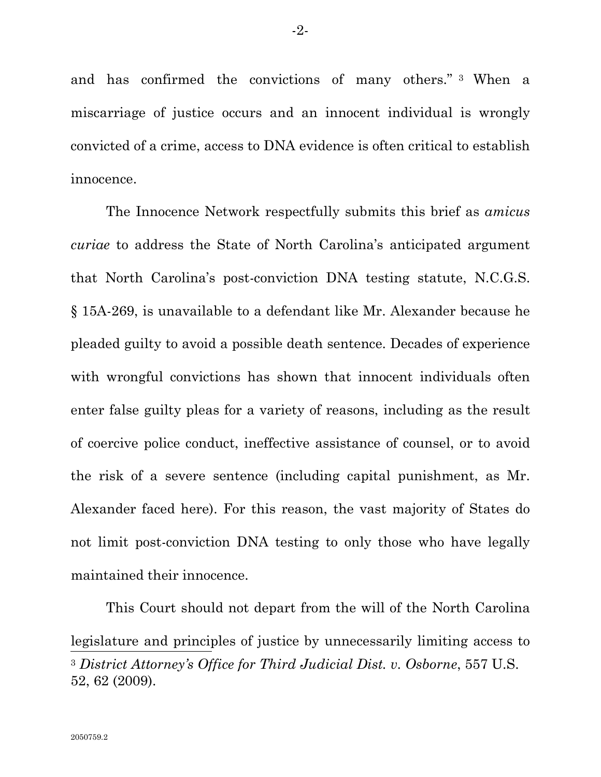and has confirmed the convictions of many others." [3](#page-5-0) When a miscarriage of justice occurs and an innocent individual is wrongly convicted of a crime, access to DNA evidence is often critical to establish innocence.

The Innocence Network respectfully submits this brief as *amicus curiae* to address the State of North Carolina's anticipated argument that North Carolina's post-conviction DNA testing statute, N.C.G.S. § 15A-269, is unavailable to a defendant like Mr. Alexander because he pleaded guilty to avoid a possible death sentence. Decades of experience with wrongful convictions has shown that innocent individuals often enter false guilty pleas for a variety of reasons, including as the result of coercive police conduct, ineffective assistance of counsel, or to avoid the risk of a severe sentence (including capital punishment, as Mr. Alexander faced here). For this reason, the vast majority of States do not limit post-conviction DNA testing to only those who have legally maintained their innocence.

<span id="page-5-0"></span>This Court should not depart from the will of the North Carolina legislature and principles of justice by unnecessarily limiting access to <sup>3</sup> *District Attorney's Office for Third Judicial Dist. v. Osborne*, 557 U.S. 52, 62 (2009).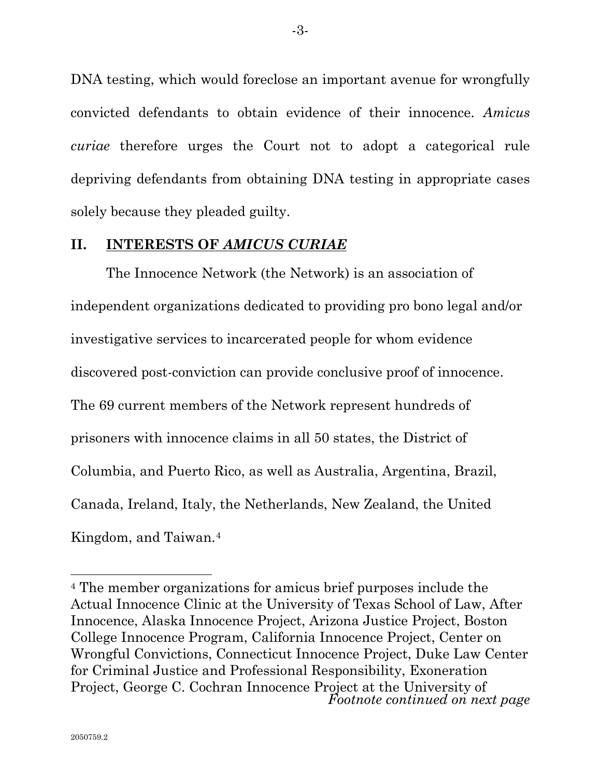DNA testing, which would foreclose an important avenue for wrongfully convicted defendants to obtain evidence of their innocence. *Amicus curiae* therefore urges the Court not to adopt a categorical rule depriving defendants from obtaining DNA testing in appropriate cases solely because they pleaded guilty.

#### <span id="page-6-0"></span>**II. INTERESTS OF** *AMICUS CURIAE*

The Innocence Network (the Network) is an association of independent organizations dedicated to providing pro bono legal and/or investigative services to incarcerated people for whom evidence discovered post-conviction can provide conclusive proof of innocence. The 69 current members of the Network represent hundreds of prisoners with innocence claims in all 50 states, the District of Columbia, and Puerto Rico, as well as Australia, Argentina, Brazil, Canada, Ireland, Italy, the Netherlands, New Zealand, the United Kingdom, and Taiwan.[4](#page-6-1)

<span id="page-6-1"></span><sup>4</sup> The member organizations for amicus brief purposes include the Actual Innocence Clinic at the University of Texas School of Law, After Innocence, Alaska Innocence Project, Arizona Justice Project, Boston College Innocence Program, California Innocence Project, Center on Wrongful Convictions, Connecticut Innocence Project, Duke Law Center for Criminal Justice and Professional Responsibility, Exoneration Project, George C. Cochran Innocence Project at the University of *Footnote continued on next page*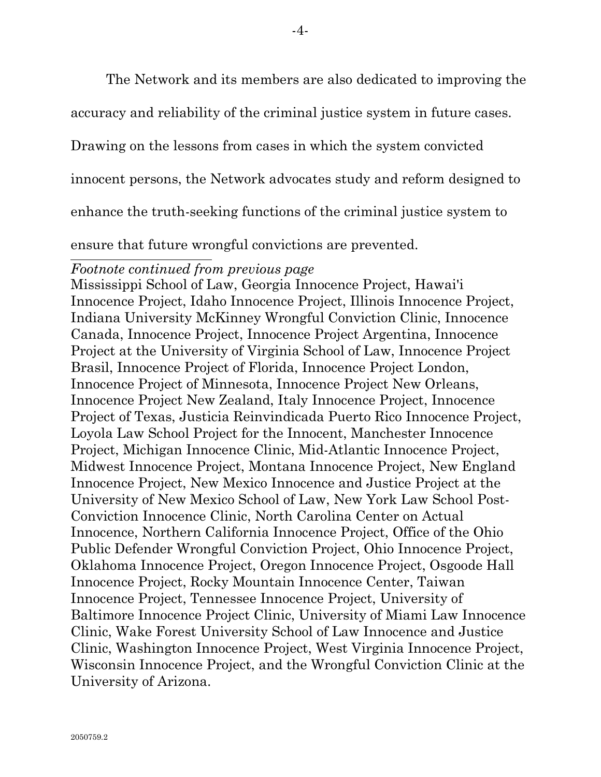The Network and its members are also dedicated to improving the

accuracy and reliability of the criminal justice system in future cases.

Drawing on the lessons from cases in which the system convicted

innocent persons, the Network advocates study and reform designed to

enhance the truth-seeking functions of the criminal justice system to

ensure that future wrongful convictions are prevented.

#### *Footnote continued from previous page*

Mississippi School of Law, Georgia Innocence Project, Hawai'i Innocence Project, Idaho Innocence Project, Illinois Innocence Project, Indiana University McKinney Wrongful Conviction Clinic, Innocence Canada, Innocence Project, Innocence Project Argentina, Innocence Project at the University of Virginia School of Law, Innocence Project Brasil, Innocence Project of Florida, Innocence Project London, Innocence Project of Minnesota, Innocence Project New Orleans, Innocence Project New Zealand, Italy Innocence Project, Innocence Project of Texas, Justicia Reinvindicada Puerto Rico Innocence Project, Loyola Law School Project for the Innocent, Manchester Innocence Project, Michigan Innocence Clinic, Mid-Atlantic Innocence Project, Midwest Innocence Project, Montana Innocence Project, New England Innocence Project, New Mexico Innocence and Justice Project at the University of New Mexico School of Law, New York Law School Post-Conviction Innocence Clinic, North Carolina Center on Actual Innocence, Northern California Innocence Project, Office of the Ohio Public Defender Wrongful Conviction Project, Ohio Innocence Project, Oklahoma Innocence Project, Oregon Innocence Project, Osgoode Hall Innocence Project, Rocky Mountain Innocence Center, Taiwan Innocence Project, Tennessee Innocence Project, University of Baltimore Innocence Project Clinic, University of Miami Law Innocence Clinic, Wake Forest University School of Law Innocence and Justice Clinic, Washington Innocence Project, West Virginia Innocence Project, Wisconsin Innocence Project, and the Wrongful Conviction Clinic at the University of Arizona.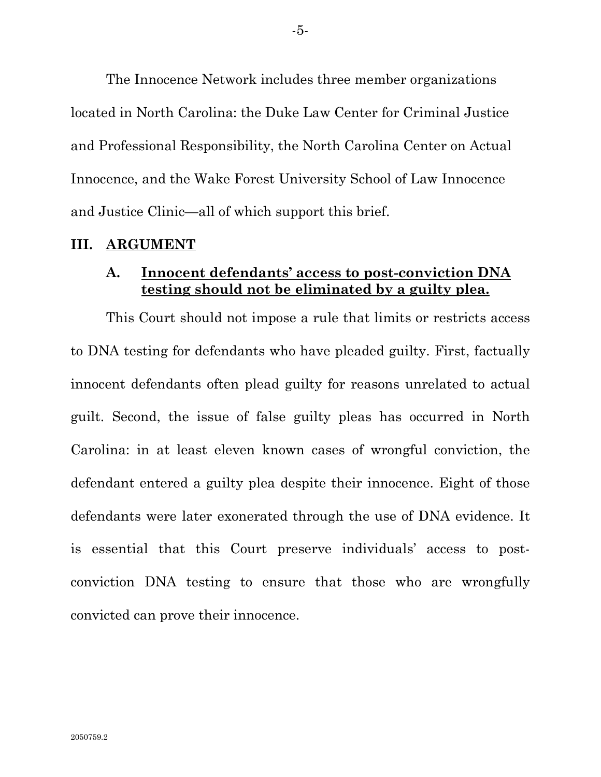The Innocence Network includes three member organizations located in North Carolina: the Duke Law Center for Criminal Justice and Professional Responsibility, the North Carolina Center on Actual Innocence, and the Wake Forest University School of Law Innocence and Justice Clinic—all of which support this brief.

#### <span id="page-8-1"></span><span id="page-8-0"></span>**III. ARGUMENT**

#### **A. Innocent defendants' access to post-conviction DNA testing should not be eliminated by a guilty plea.**

This Court should not impose a rule that limits or restricts access to DNA testing for defendants who have pleaded guilty. First, factually innocent defendants often plead guilty for reasons unrelated to actual guilt. Second, the issue of false guilty pleas has occurred in North Carolina: in at least eleven known cases of wrongful conviction, the defendant entered a guilty plea despite their innocence. Eight of those defendants were later exonerated through the use of DNA evidence. It is essential that this Court preserve individuals' access to postconviction DNA testing to ensure that those who are wrongfully convicted can prove their innocence.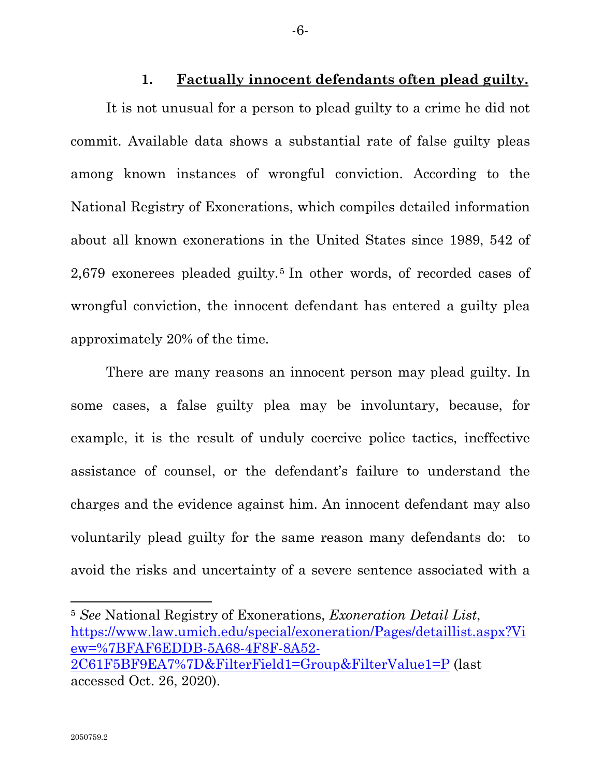**1. Factually innocent defendants often plead guilty.**

<span id="page-9-0"></span>It is not unusual for a person to plead guilty to a crime he did not commit. Available data shows a substantial rate of false guilty pleas among known instances of wrongful conviction. According to the National Registry of Exonerations, which compiles detailed information about all known exonerations in the United States since 1989, 542 of 2,679 exonerees pleaded guilty.[5](#page-9-1) In other words, of recorded cases of wrongful conviction, the innocent defendant has entered a guilty plea approximately 20% of the time.

There are many reasons an innocent person may plead guilty. In some cases, a false guilty plea may be involuntary, because, for example, it is the result of unduly coercive police tactics, ineffective assistance of counsel, or the defendant's failure to understand the charges and the evidence against him. An innocent defendant may also voluntarily plead guilty for the same reason many defendants do: to avoid the risks and uncertainty of a severe sentence associated with a

<span id="page-9-1"></span><sup>5</sup> *See* National Registry of Exonerations, *Exoneration Detail List*, [https://www.law.umich.edu/special/exoneration/Pages/detaillist.aspx?Vi](https://www.law.umich.edu/special/exoneration/Pages/detaillist.aspx?View=%7BFAF6EDDB-5A68-4F8F-8A52-2C61F5BF9EA7%7D&FilterField1=Group&FilterValue1=P) [ew=%7BFAF6EDDB-5A68-4F8F-8A52-](https://www.law.umich.edu/special/exoneration/Pages/detaillist.aspx?View=%7BFAF6EDDB-5A68-4F8F-8A52-2C61F5BF9EA7%7D&FilterField1=Group&FilterValue1=P) [2C61F5BF9EA7%7D&FilterField1=Group&FilterValue1=P](https://www.law.umich.edu/special/exoneration/Pages/detaillist.aspx?View=%7BFAF6EDDB-5A68-4F8F-8A52-2C61F5BF9EA7%7D&FilterField1=Group&FilterValue1=P) (last accessed Oct. 26, 2020).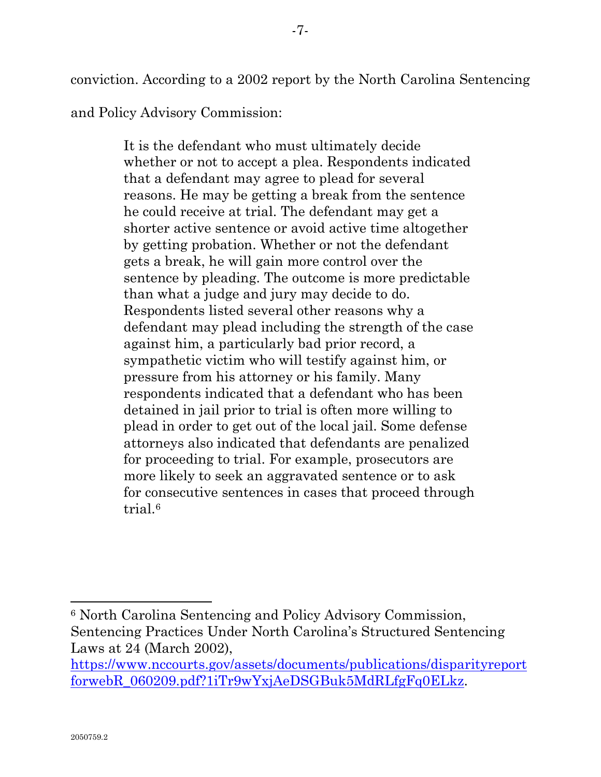conviction. According to a 2002 report by the North Carolina Sentencing

and Policy Advisory Commission:

It is the defendant who must ultimately decide whether or not to accept a plea. Respondents indicated that a defendant may agree to plead for several reasons. He may be getting a break from the sentence he could receive at trial. The defendant may get a shorter active sentence or avoid active time altogether by getting probation. Whether or not the defendant gets a break, he will gain more control over the sentence by pleading. The outcome is more predictable than what a judge and jury may decide to do. Respondents listed several other reasons why a defendant may plead including the strength of the case against him, a particularly bad prior record, a sympathetic victim who will testify against him, or pressure from his attorney or his family. Many respondents indicated that a defendant who has been detained in jail prior to trial is often more willing to plead in order to get out of the local jail. Some defense attorneys also indicated that defendants are penalized for proceeding to trial. For example, prosecutors are more likely to seek an aggravated sentence or to ask for consecutive sentences in cases that proceed through trial.[6](#page-10-0)

<span id="page-10-0"></span><sup>6</sup> North Carolina Sentencing and Policy Advisory Commission, Sentencing Practices Under North Carolina's Structured Sentencing Laws at 24 (March 2002),

[https://www.nccourts.gov/assets/documents/publications/disparityreport](https://www.nccourts.gov/assets/documents/publications/disparityreportforwebR_060209.pdf?1iTr9wYxjAeDSGBuk5MdRLfgFq0ELkz) [forwebR\\_060209.pdf?1iTr9wYxjAeDSGBuk5MdRLfgFq0ELkz.](https://www.nccourts.gov/assets/documents/publications/disparityreportforwebR_060209.pdf?1iTr9wYxjAeDSGBuk5MdRLfgFq0ELkz)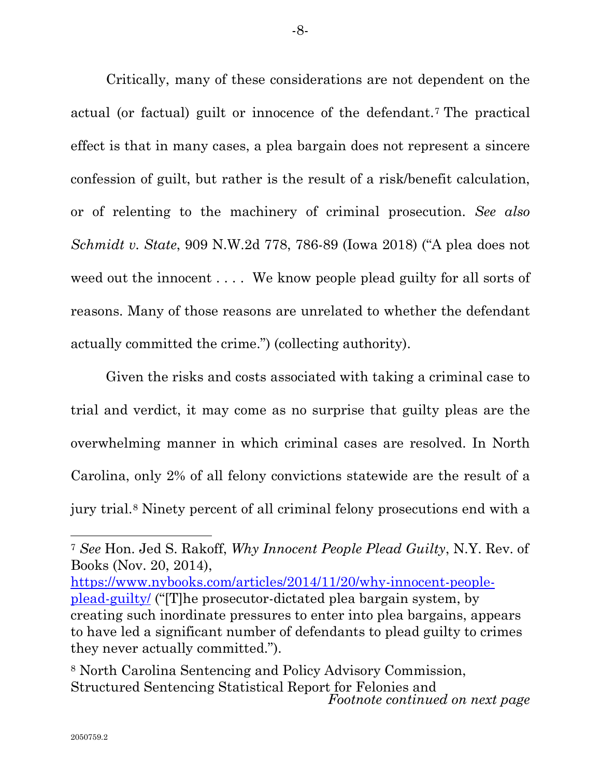Critically, many of these considerations are not dependent on the actual (or factual) guilt or innocence of the defendant.[7](#page-11-0) The practical effect is that in many cases, a plea bargain does not represent a sincere confession of guilt, but rather is the result of a risk/benefit calculation, or of relenting to the machinery of criminal prosecution. *See also Schmidt v. State*, 909 N.W.2d 778, 786-89 (Iowa 2018) ("A plea does not weed out the innocent . . . . We know people plead guilty for all sorts of reasons. Many of those reasons are unrelated to whether the defendant actually committed the crime.") (collecting authority).

Given the risks and costs associated with taking a criminal case to trial and verdict, it may come as no surprise that guilty pleas are the overwhelming manner in which criminal cases are resolved. In North Carolina, only 2% of all felony convictions statewide are the result of a jury trial.[8](#page-11-1) Ninety percent of all criminal felony prosecutions end with a

[https://www.nybooks.com/articles/2014/11/20/why-innocent-people](https://www.nybooks.com/articles/2014/11/20/why-innocent-people-plead-guilty/)[plead-guilty/](https://www.nybooks.com/articles/2014/11/20/why-innocent-people-plead-guilty/) ("[T]he prosecutor-dictated plea bargain system, by creating such inordinate pressures to enter into plea bargains, appears to have led a significant number of defendants to plead guilty to crimes they never actually committed.").

<span id="page-11-0"></span><sup>7</sup> *See* Hon. Jed S. Rakoff, *Why Innocent People Plead Guilty*, N.Y. Rev. of Books (Nov. 20, 2014),

<span id="page-11-1"></span><sup>8</sup> North Carolina Sentencing and Policy Advisory Commission, Structured Sentencing Statistical Report for Felonies and *Footnote continued on next page*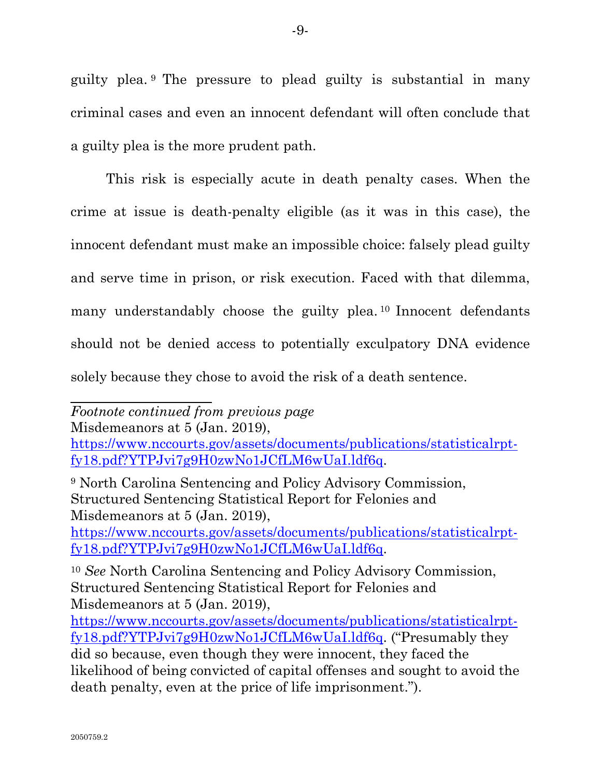guilty plea. [9](#page-12-0) The pressure to plead guilty is substantial in many criminal cases and even an innocent defendant will often conclude that a guilty plea is the more prudent path.

This risk is especially acute in death penalty cases. When the crime at issue is death-penalty eligible (as it was in this case), the innocent defendant must make an impossible choice: falsely plead guilty and serve time in prison, or risk execution. Faced with that dilemma, many understandably choose the guilty plea.<sup>[10](#page-12-1)</sup> Innocent defendants should not be denied access to potentially exculpatory DNA evidence solely because they chose to avoid the risk of a death sentence.

Misdemeanors at 5 (Jan. 2019),

<span id="page-12-0"></span><sup>9</sup> North Carolina Sentencing and Policy Advisory Commission, Structured Sentencing Statistical Report for Felonies and Misdemeanors at 5 (Jan. 2019),

[https://www.nccourts.gov/assets/documents/publications/statisticalrpt](https://www.nccourts.gov/assets/documents/publications/statisticalrpt-fy18.pdf?YTPJvi7g9H0zwNo1JCfLM6wUaI.ldf6q)[fy18.pdf?YTPJvi7g9H0zwNo1JCfLM6wUaI.ldf6q.](https://www.nccourts.gov/assets/documents/publications/statisticalrpt-fy18.pdf?YTPJvi7g9H0zwNo1JCfLM6wUaI.ldf6q)

*Footnote continued from previous page*

[https://www.nccourts.gov/assets/documents/publications/statisticalrpt](https://www.nccourts.gov/assets/documents/publications/statisticalrpt-fy18.pdf?YTPJvi7g9H0zwNo1JCfLM6wUaI.ldf6q)[fy18.pdf?YTPJvi7g9H0zwNo1JCfLM6wUaI.ldf6q.](https://www.nccourts.gov/assets/documents/publications/statisticalrpt-fy18.pdf?YTPJvi7g9H0zwNo1JCfLM6wUaI.ldf6q)

<span id="page-12-1"></span><sup>10</sup> *See* North Carolina Sentencing and Policy Advisory Commission, Structured Sentencing Statistical Report for Felonies and Misdemeanors at 5 (Jan. 2019),

[https://www.nccourts.gov/assets/documents/publications/statisticalrpt](https://www.nccourts.gov/assets/documents/publications/statisticalrpt-fy18.pdf?YTPJvi7g9H0zwNo1JCfLM6wUaI.ldf6q)[fy18.pdf?YTPJvi7g9H0zwNo1JCfLM6wUaI.ldf6q.](https://www.nccourts.gov/assets/documents/publications/statisticalrpt-fy18.pdf?YTPJvi7g9H0zwNo1JCfLM6wUaI.ldf6q) ("Presumably they did so because, even though they were innocent, they faced the likelihood of being convicted of capital offenses and sought to avoid the death penalty, even at the price of life imprisonment.").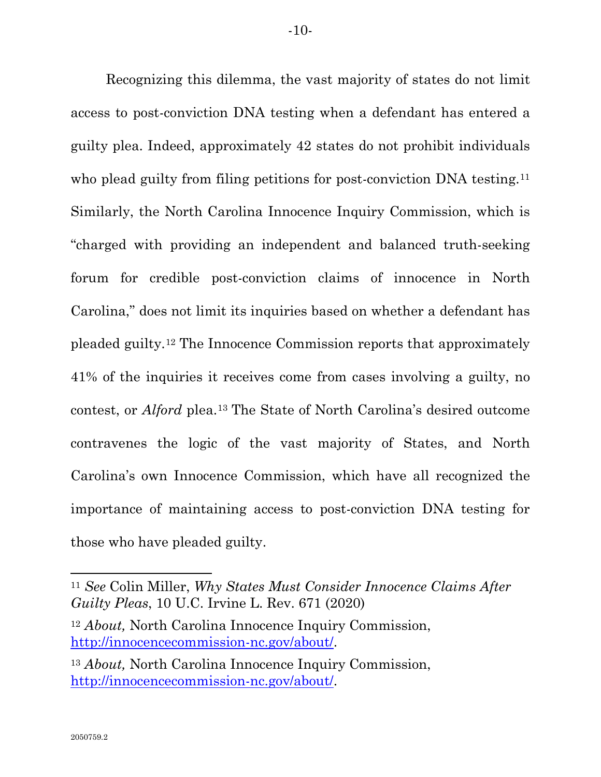Recognizing this dilemma, the vast majority of states do not limit access to post-conviction DNA testing when a defendant has entered a guilty plea. Indeed, approximately 42 states do not prohibit individuals who plead guilty from filing petitions for post-conviction DNA testing.<sup>[11](#page-13-0)</sup> Similarly, the North Carolina Innocence Inquiry Commission, which is "charged with providing an independent and balanced truth-seeking forum for credible post-conviction claims of innocence in North Carolina," does not limit its inquiries based on whether a defendant has pleaded guilty.[12](#page-13-1) The Innocence Commission reports that approximately 41% of the inquiries it receives come from cases involving a guilty, no contest, or *Alford* plea.[13](#page-13-2) The State of North Carolina's desired outcome contravenes the logic of the vast majority of States, and North Carolina's own Innocence Commission, which have all recognized the importance of maintaining access to post-conviction DNA testing for those who have pleaded guilty.

<span id="page-13-0"></span><sup>11</sup> *See* Colin Miller, *Why States Must Consider Innocence Claims After Guilty Pleas*, 10 U.C. Irvine L. Rev. 671 (2020)

<span id="page-13-1"></span><sup>12</sup> *About,* North Carolina Innocence Inquiry Commission, [http://innocencecommission-nc.gov/about/.](http://innocencecommission-nc.gov/about/)

<span id="page-13-2"></span><sup>13</sup> *About,* North Carolina Innocence Inquiry Commission, [http://innocencecommission-nc.gov/about/.](http://innocencecommission-nc.gov/about/)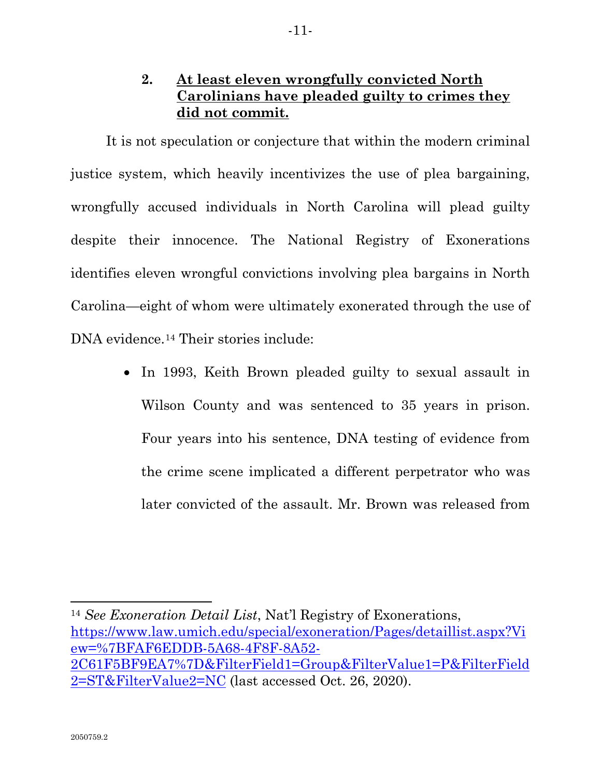# **2. At least eleven wrongfully convicted North Carolinians have pleaded guilty to crimes they did not commit.**

<span id="page-14-0"></span>It is not speculation or conjecture that within the modern criminal justice system, which heavily incentivizes the use of plea bargaining, wrongfully accused individuals in North Carolina will plead guilty despite their innocence. The National Registry of Exonerations identifies eleven wrongful convictions involving plea bargains in North Carolina—eight of whom were ultimately exonerated through the use of DNA evidence.<sup>[14](#page-14-1)</sup> Their stories include:

> • In 1993, Keith Brown pleaded guilty to sexual assault in Wilson County and was sentenced to 35 years in prison. Four years into his sentence, DNA testing of evidence from the crime scene implicated a different perpetrator who was later convicted of the assault. Mr. Brown was released from

<span id="page-14-1"></span><sup>14</sup> *See Exoneration Detail List*, Nat'l Registry of Exonerations, [https://www.law.umich.edu/special/exoneration/Pages/detaillist.aspx?Vi](https://www.law.umich.edu/special/exoneration/Pages/detaillist.aspx?View=%7BFAF6EDDB-5A68-4F8F-8A52-2C61F5BF9EA7%7D&FilterField1=Group&FilterValue1=P&FilterField2=ST&FilterValue2=NC) [ew=%7BFAF6EDDB-5A68-4F8F-8A52-](https://www.law.umich.edu/special/exoneration/Pages/detaillist.aspx?View=%7BFAF6EDDB-5A68-4F8F-8A52-2C61F5BF9EA7%7D&FilterField1=Group&FilterValue1=P&FilterField2=ST&FilterValue2=NC) [2C61F5BF9EA7%7D&FilterField1=Group&FilterValue1=P&FilterField](https://www.law.umich.edu/special/exoneration/Pages/detaillist.aspx?View=%7BFAF6EDDB-5A68-4F8F-8A52-2C61F5BF9EA7%7D&FilterField1=Group&FilterValue1=P&FilterField2=ST&FilterValue2=NC) [2=ST&FilterValue2=NC](https://www.law.umich.edu/special/exoneration/Pages/detaillist.aspx?View=%7BFAF6EDDB-5A68-4F8F-8A52-2C61F5BF9EA7%7D&FilterField1=Group&FilterValue1=P&FilterField2=ST&FilterValue2=NC) (last accessed Oct. 26, 2020).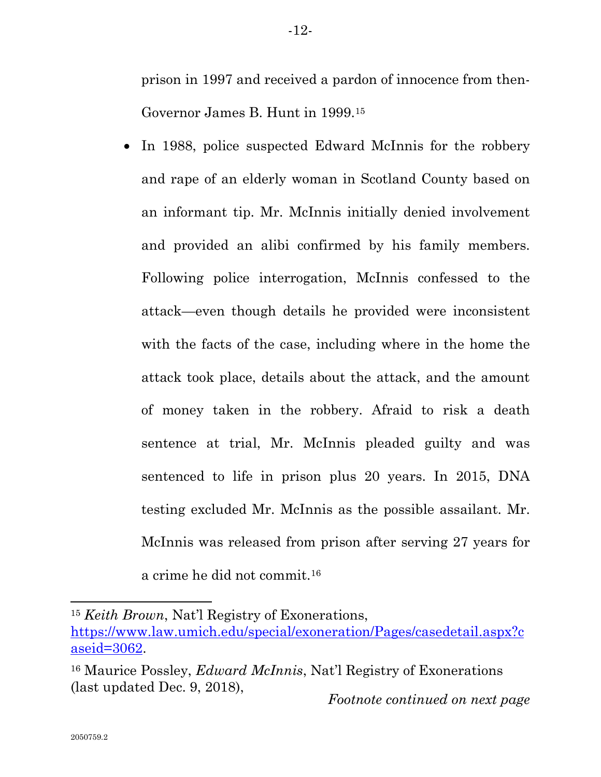prison in 1997 and received a pardon of innocence from then-Governor James B. Hunt in 1999.[15](#page-15-0)

• In 1988, police suspected Edward McInnis for the robbery and rape of an elderly woman in Scotland County based on an informant tip. Mr. McInnis initially denied involvement and provided an alibi confirmed by his family members. Following police interrogation, McInnis confessed to the attack—even though details he provided were inconsistent with the facts of the case, including where in the home the attack took place, details about the attack, and the amount of money taken in the robbery. Afraid to risk a death sentence at trial, Mr. McInnis pleaded guilty and was sentenced to life in prison plus 20 years. In 2015, DNA testing excluded Mr. McInnis as the possible assailant. Mr. McInnis was released from prison after serving 27 years for a crime he did not commit.[16](#page-15-1)

<span id="page-15-0"></span><sup>15</sup> *Keith Brown*, Nat'l Registry of Exonerations,

[https://www.law.umich.edu/special/exoneration/Pages/casedetail.aspx?c](https://www.law.umich.edu/special/exoneration/Pages/casedetail.aspx?caseid=3062) [aseid=3062.](https://www.law.umich.edu/special/exoneration/Pages/casedetail.aspx?caseid=3062)

<span id="page-15-1"></span><sup>16</sup> Maurice Possley, *Edward McInnis*, Nat'l Registry of Exonerations (last updated Dec. 9, 2018), *Footnote continued on next page*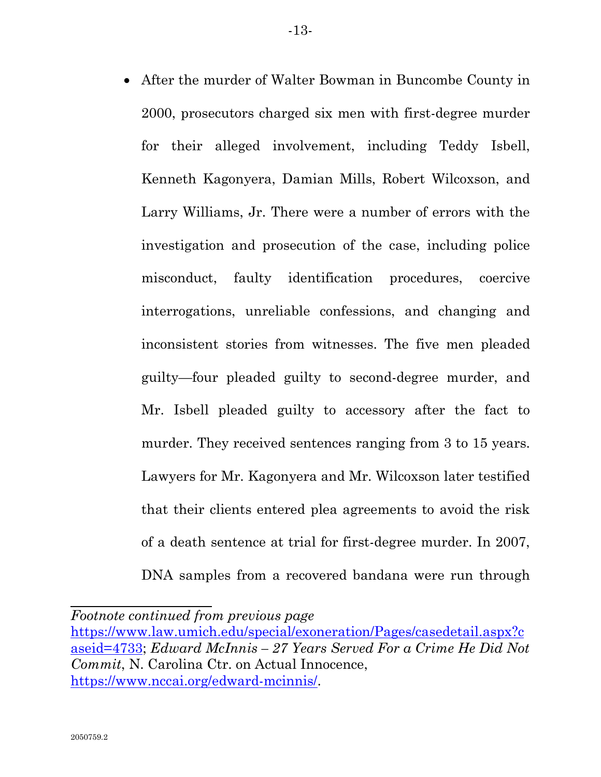• After the murder of Walter Bowman in Buncombe County in 2000, prosecutors charged six men with first-degree murder for their alleged involvement, including Teddy Isbell, Kenneth Kagonyera, Damian Mills, Robert Wilcoxson, and Larry Williams, Jr. There were a number of errors with the investigation and prosecution of the case, including police misconduct, faulty identification procedures, coercive interrogations, unreliable confessions, and changing and inconsistent stories from witnesses. The five men pleaded guilty—four pleaded guilty to second-degree murder, and Mr. Isbell pleaded guilty to accessory after the fact to murder. They received sentences ranging from 3 to 15 years. Lawyers for Mr. Kagonyera and Mr. Wilcoxson later testified that their clients entered plea agreements to avoid the risk of a death sentence at trial for first-degree murder. In 2007, DNA samples from a recovered bandana were run through

*Footnote continued from previous page*

[https://www.law.umich.edu/special/exoneration/Pages/casedetail.aspx?c](https://www.law.umich.edu/special/exoneration/Pages/casedetail.aspx?caseid=4733) [aseid=4733;](https://www.law.umich.edu/special/exoneration/Pages/casedetail.aspx?caseid=4733) *Edward McInnis – 27 Years Served For a Crime He Did Not Commit*, N. Carolina Ctr. on Actual Innocence, [https://www.nccai.org/edward-mcinnis/.](https://www.nccai.org/edward-mcinnis/)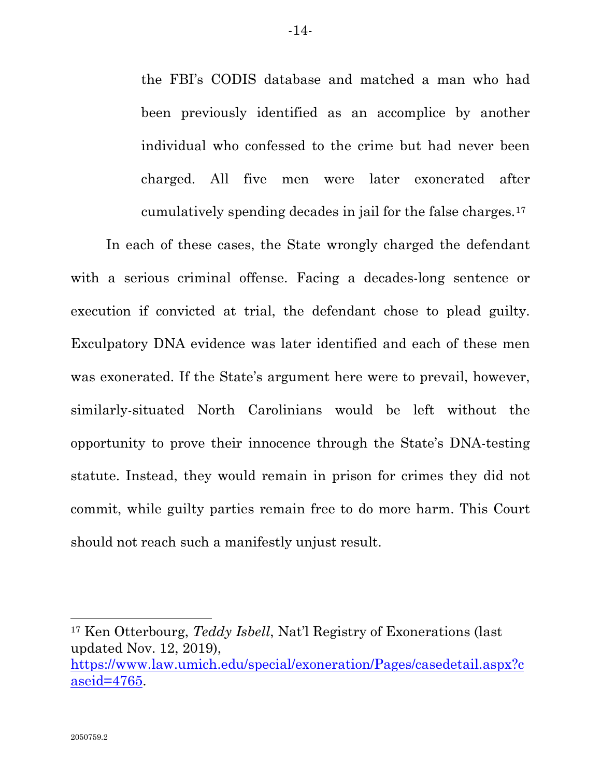the FBI's CODIS database and matched a man who had been previously identified as an accomplice by another individual who confessed to the crime but had never been charged. All five men were later exonerated after cumulatively spending decades in jail for the false charges.[17](#page-17-0)

In each of these cases, the State wrongly charged the defendant with a serious criminal offense. Facing a decades-long sentence or execution if convicted at trial, the defendant chose to plead guilty. Exculpatory DNA evidence was later identified and each of these men was exonerated. If the State's argument here were to prevail, however, similarly-situated North Carolinians would be left without the opportunity to prove their innocence through the State's DNA-testing statute. Instead, they would remain in prison for crimes they did not commit, while guilty parties remain free to do more harm. This Court should not reach such a manifestly unjust result.

<span id="page-17-0"></span><sup>17</sup> Ken Otterbourg, *Teddy Isbell*, Nat'l Registry of Exonerations (last updated Nov. 12, 2019),

[https://www.law.umich.edu/special/exoneration/Pages/casedetail.aspx?c](https://www.law.umich.edu/special/exoneration/Pages/casedetail.aspx?caseid=4765) [aseid=4765.](https://www.law.umich.edu/special/exoneration/Pages/casedetail.aspx?caseid=4765)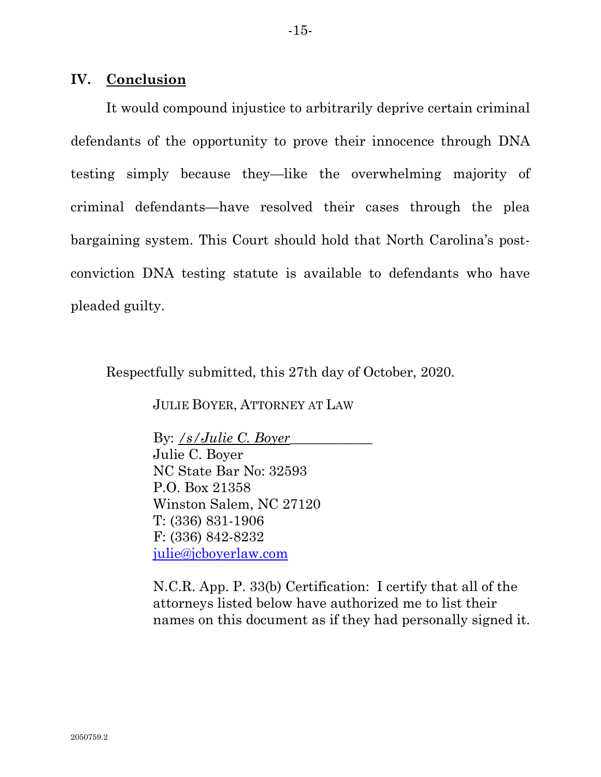#### <span id="page-18-0"></span>**IV. Conclusion**

It would compound injustice to arbitrarily deprive certain criminal defendants of the opportunity to prove their innocence through DNA testing simply because they—like the overwhelming majority of criminal defendants—have resolved their cases through the plea bargaining system. This Court should hold that North Carolina's postconviction DNA testing statute is available to defendants who have pleaded guilty.

Respectfully submitted, this 27th day of October, 2020.

JULIE BOYER, ATTORNEY AT LAW

By: */s/Julie C. Boyer\_\_\_\_\_\_\_\_\_\_\_\_* Julie C. Boyer NC State Bar No: 32593 P.O. Box 21358 Winston Salem, NC 27120 T: (336) 831-1906 F: (336) 842-8232 [julie@jcboyerlaw.com](mailto:julie@jcboyerlaw.com)

N.C.R. App. P. 33(b) Certification: I certify that all of the attorneys listed below have authorized me to list their names on this document as if they had personally signed it.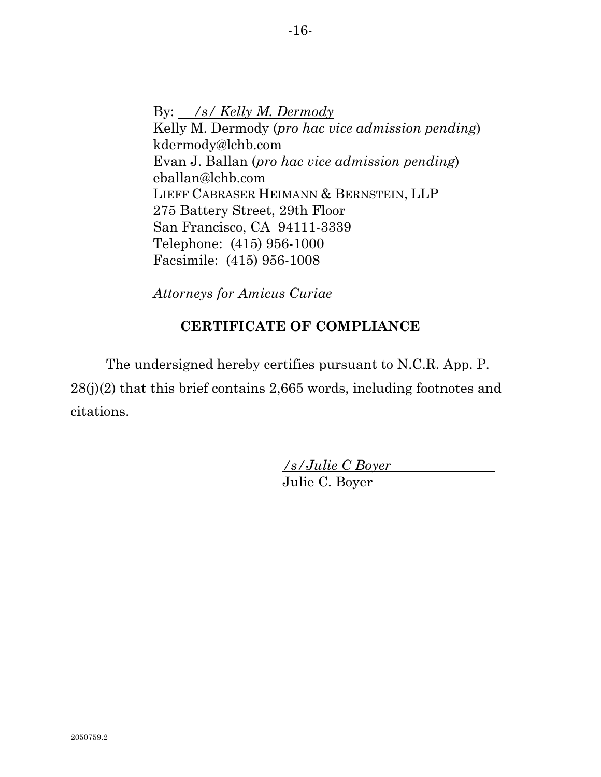By: */s/ Kelly M. Dermody* Kelly M. Dermody (*pro hac vice admission pending*) kdermody@lchb.com Evan J. Ballan (*pro hac vice admission pending*) eballan@lchb.com LIEFF CABRASER HEIMANN & BERNSTEIN, LLP 275 Battery Street, 29th Floor San Francisco, CA 94111-3339 Telephone: (415) 956-1000 Facsimile: (415) 956-1008

*Attorneys for Amicus Curiae*

## **CERTIFICATE OF COMPLIANCE**

The undersigned hereby certifies pursuant to N.C.R. App. P. 28(j)(2) that this brief contains 2,665 words, including footnotes and citations.

> */s/Julie C Boyer* Julie C. Boyer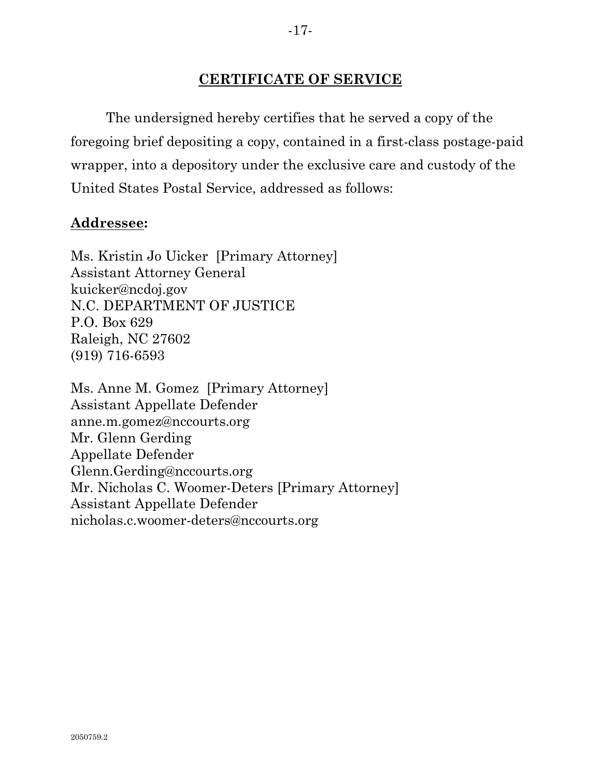### **CERTIFICATE OF SERVICE**

The undersigned hereby certifies that he served a copy of the foregoing brief depositing a copy, contained in a first-class postage-paid wrapper, into a depository under the exclusive care and custody of the United States Postal Service, addressed as follows:

#### **Addressee:**

Ms. Kristin Jo Uicker [Primary Attorney] Assistant Attorney General kuicker@ncdoj.gov N.C. DEPARTMENT OF JUSTICE P.O. Box 629 Raleigh, NC 27602 (919) 716-6593

Ms. Anne M. Gomez [Primary Attorney] Assistant Appellate Defender anne.m.gomez@nccourts.org Mr. Glenn Gerding Appellate Defender Glenn.Gerding@nccourts.org Mr. Nicholas C. Woomer-Deters [Primary Attorney] Assistant Appellate Defender nicholas.c.woomer-deters@nccourts.org